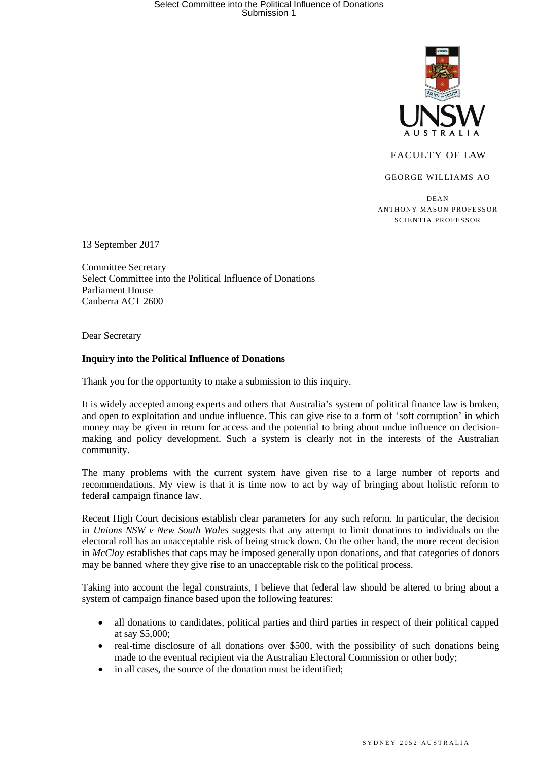

## FACULTY OF LAW

GEORGE WILLIAMS AO

DEA N ANTHONY MASON PROFESSOR SCIENTIA PROFESSOR

13 September 2017

Committee Secretary Select Committee into the Political Influence of Donations Parliament House Canberra ACT 2600

Dear Secretary

## **Inquiry into the Political Influence of Donations**

Thank you for the opportunity to make a submission to this inquiry.

It is widely accepted among experts and others that Australia's system of political finance law is broken, and open to exploitation and undue influence. This can give rise to a form of 'soft corruption' in which money may be given in return for access and the potential to bring about undue influence on decisionmaking and policy development. Such a system is clearly not in the interests of the Australian community.

The many problems with the current system have given rise to a large number of reports and recommendations. My view is that it is time now to act by way of bringing about holistic reform to federal campaign finance law.

Recent High Court decisions establish clear parameters for any such reform. In particular, the decision in *Unions NSW v New South Wales* suggests that any attempt to limit donations to individuals on the electoral roll has an unacceptable risk of being struck down. On the other hand, the more recent decision in *McCloy* establishes that caps may be imposed generally upon donations, and that categories of donors may be banned where they give rise to an unacceptable risk to the political process.

Taking into account the legal constraints, I believe that federal law should be altered to bring about a system of campaign finance based upon the following features:

- all donations to candidates, political parties and third parties in respect of their political capped at say \$5,000;
- real-time disclosure of all donations over \$500, with the possibility of such donations being made to the eventual recipient via the Australian Electoral Commission or other body;
- in all cases, the source of the donation must be identified;